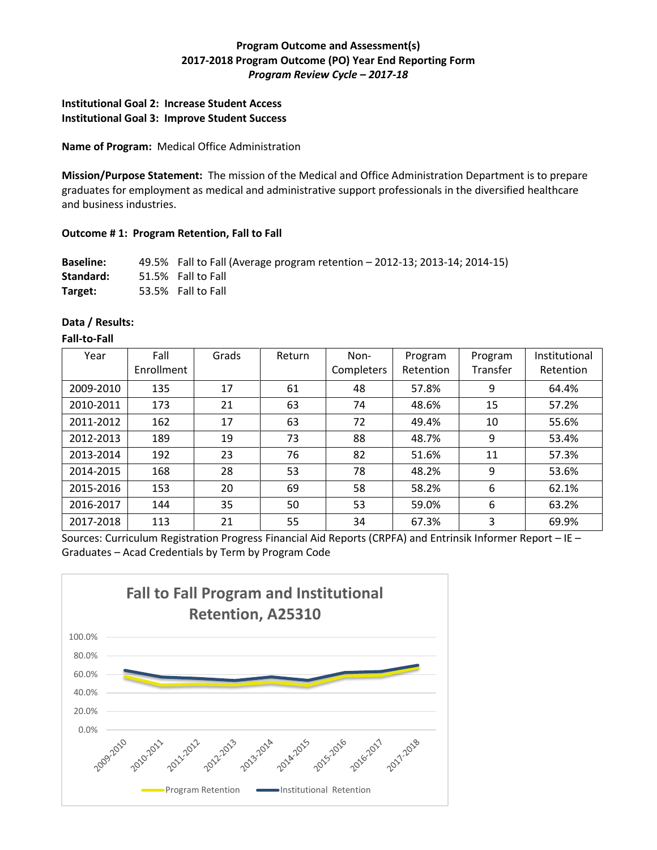# **Program Outcome and Assessment(s) 2017-2018 Program Outcome (PO) Year End Reporting Form** *Program Review Cycle – 2017-18*

## **Institutional Goal 2: Increase Student Access Institutional Goal 3: Improve Student Success**

### **Name of Program:** Medical Office Administration

**Mission/Purpose Statement:** The mission of the Medical and Office Administration Department is to prepare graduates for employment as medical and administrative support professionals in the diversified healthcare and business industries.

## **Outcome # 1: Program Retention, Fall to Fall**

**Baseline:** 49.5% Fall to Fall (Average program retention – 2012-13; 2013-14; 2014-15) **Standard:** 51.5% Fall to Fall **Target:** 53.5% Fall to Fall

### **Data / Results:**

## **Fall-to-Fall**

| Year      | Fall       | Grads | Return | Non-       | Program   | Program  | Institutional |
|-----------|------------|-------|--------|------------|-----------|----------|---------------|
|           | Enrollment |       |        | Completers | Retention | Transfer | Retention     |
| 2009-2010 | 135        | 17    | 61     | 48         | 57.8%     | 9        | 64.4%         |
| 2010-2011 | 173        | 21    | 63     | 74         | 48.6%     | 15       | 57.2%         |
| 2011-2012 | 162        | 17    | 63     | 72         | 49.4%     | 10       | 55.6%         |
| 2012-2013 | 189        | 19    | 73     | 88         | 48.7%     | 9        | 53.4%         |
| 2013-2014 | 192        | 23    | 76     | 82         | 51.6%     | 11       | 57.3%         |
| 2014-2015 | 168        | 28    | 53     | 78         | 48.2%     | 9        | 53.6%         |
| 2015-2016 | 153        | 20    | 69     | 58         | 58.2%     | 6        | 62.1%         |
| 2016-2017 | 144        | 35    | 50     | 53         | 59.0%     | 6        | 63.2%         |
| 2017-2018 | 113        | 21    | 55     | 34         | 67.3%     | 3        | 69.9%         |

Sources: Curriculum Registration Progress Financial Aid Reports (CRPFA) and Entrinsik Informer Report – IE – Graduates – Acad Credentials by Term by Program Code

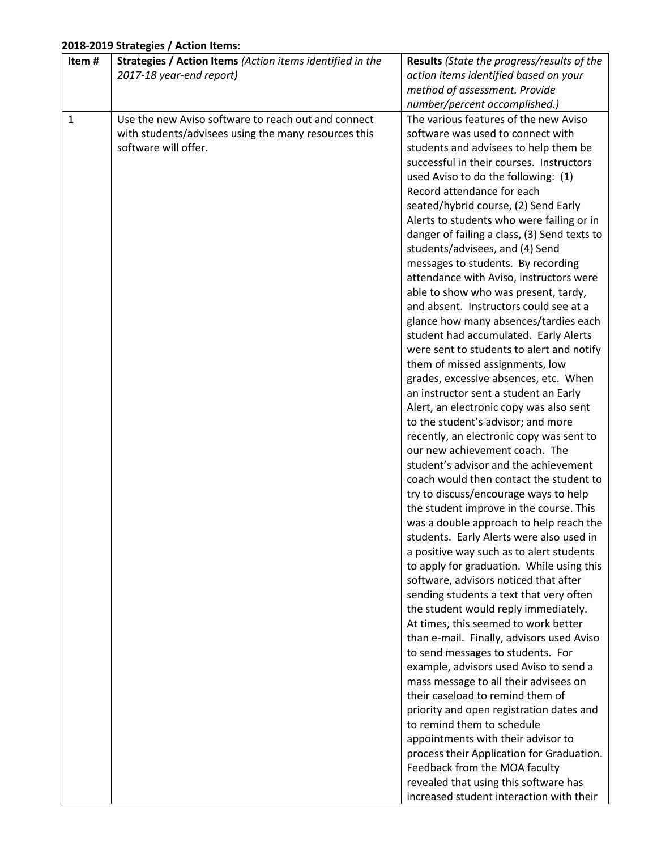# **2018-2019 Strategies / Action Items:**

| Item# | Strategies / Action Items (Action items identified in the | Results (State the progress/results of the   |
|-------|-----------------------------------------------------------|----------------------------------------------|
|       | 2017-18 year-end report)                                  | action items identified based on your        |
|       |                                                           | method of assessment. Provide                |
|       |                                                           | number/percent accomplished.)                |
| 1     | Use the new Aviso software to reach out and connect       | The various features of the new Aviso        |
|       | with students/advisees using the many resources this      | software was used to connect with            |
|       | software will offer.                                      | students and advisees to help them be        |
|       |                                                           | successful in their courses. Instructors     |
|       |                                                           | used Aviso to do the following: (1)          |
|       |                                                           | Record attendance for each                   |
|       |                                                           | seated/hybrid course, (2) Send Early         |
|       |                                                           | Alerts to students who were failing or in    |
|       |                                                           | danger of failing a class, (3) Send texts to |
|       |                                                           | students/advisees, and (4) Send              |
|       |                                                           | messages to students. By recording           |
|       |                                                           | attendance with Aviso, instructors were      |
|       |                                                           | able to show who was present, tardy,         |
|       |                                                           |                                              |
|       |                                                           | and absent. Instructors could see at a       |
|       |                                                           | glance how many absences/tardies each        |
|       |                                                           | student had accumulated. Early Alerts        |
|       |                                                           | were sent to students to alert and notify    |
|       |                                                           | them of missed assignments, low              |
|       |                                                           | grades, excessive absences, etc. When        |
|       |                                                           | an instructor sent a student an Early        |
|       |                                                           | Alert, an electronic copy was also sent      |
|       |                                                           | to the student's advisor; and more           |
|       |                                                           | recently, an electronic copy was sent to     |
|       |                                                           | our new achievement coach. The               |
|       |                                                           | student's advisor and the achievement        |
|       |                                                           | coach would then contact the student to      |
|       |                                                           | try to discuss/encourage ways to help        |
|       |                                                           | the student improve in the course. This      |
|       |                                                           | was a double approach to help reach the      |
|       |                                                           | students. Early Alerts were also used in     |
|       |                                                           | a positive way such as to alert students     |
|       |                                                           | to apply for graduation. While using this    |
|       |                                                           | software, advisors noticed that after        |
|       |                                                           | sending students a text that very often      |
|       |                                                           | the student would reply immediately.         |
|       |                                                           | At times, this seemed to work better         |
|       |                                                           | than e-mail. Finally, advisors used Aviso    |
|       |                                                           | to send messages to students. For            |
|       |                                                           | example, advisors used Aviso to send a       |
|       |                                                           | mass message to all their advisees on        |
|       |                                                           | their caseload to remind them of             |
|       |                                                           | priority and open registration dates and     |
|       |                                                           | to remind them to schedule                   |
|       |                                                           | appointments with their advisor to           |
|       |                                                           | process their Application for Graduation.    |
|       |                                                           | Feedback from the MOA faculty                |
|       |                                                           | revealed that using this software has        |
|       |                                                           | increased student interaction with their     |